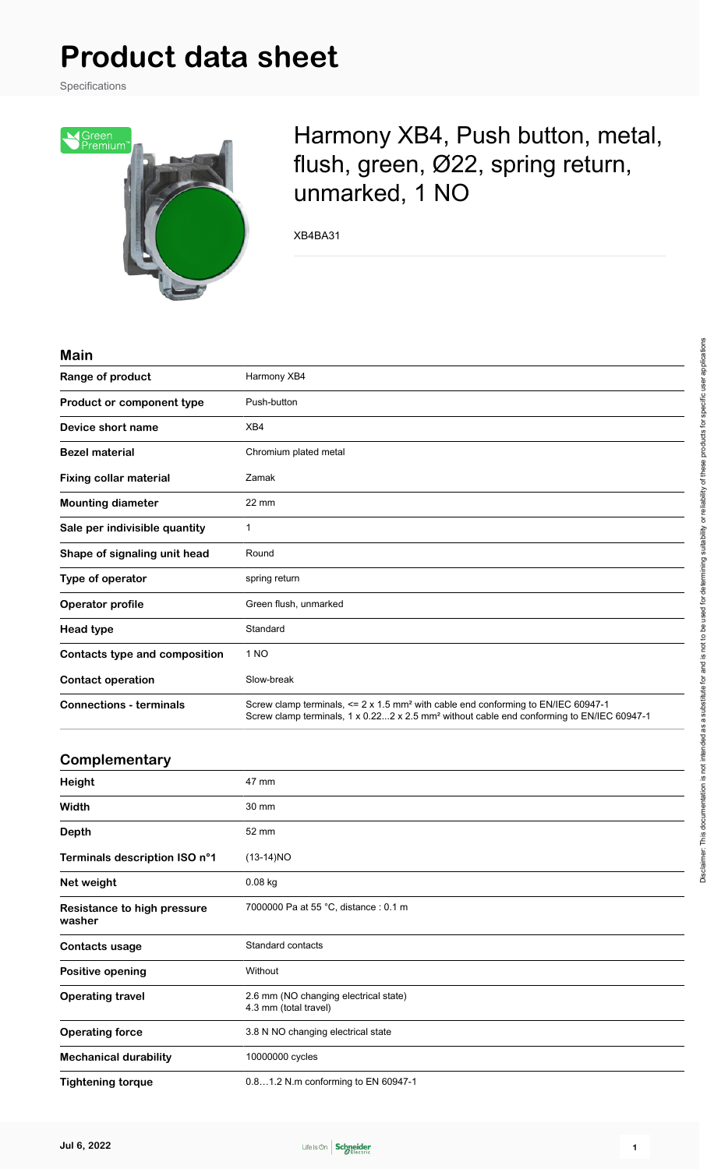# **Product data sheet**

Specifications



Harmony XB4, Push button, metal, flush, green, Ø22, spring return, unmarked, 1 NO

XB4BA31

#### **Main**

| Range of product               | Harmony XB4                                                                                                                                                                                            |  |
|--------------------------------|--------------------------------------------------------------------------------------------------------------------------------------------------------------------------------------------------------|--|
| Product or component type      | Push-button                                                                                                                                                                                            |  |
| Device short name              | XB4                                                                                                                                                                                                    |  |
| <b>Bezel material</b>          | Chromium plated metal                                                                                                                                                                                  |  |
| <b>Fixing collar material</b>  | Zamak                                                                                                                                                                                                  |  |
| <b>Mounting diameter</b>       | $22 \text{ mm}$                                                                                                                                                                                        |  |
| Sale per indivisible quantity  | 1                                                                                                                                                                                                      |  |
| Shape of signaling unit head   | Round                                                                                                                                                                                                  |  |
| Type of operator               | spring return                                                                                                                                                                                          |  |
| Operator profile               | Green flush, unmarked                                                                                                                                                                                  |  |
| <b>Head type</b>               | Standard                                                                                                                                                                                               |  |
| Contacts type and composition  | 1 NO                                                                                                                                                                                                   |  |
| <b>Contact operation</b>       | Slow-break                                                                                                                                                                                             |  |
| <b>Connections - terminals</b> | Screw clamp terminals, <= 2 x 1.5 mm <sup>2</sup> with cable end conforming to EN/IEC 60947-1<br>Screw clamp terminals, 1 x 0.222 x 2.5 mm <sup>2</sup> without cable end conforming to EN/IEC 60947-1 |  |

## **Complementary**

| Height                                | 47 mm                                                          |
|---------------------------------------|----------------------------------------------------------------|
| Width                                 | 30 mm                                                          |
| <b>Depth</b>                          | 52 mm                                                          |
| Terminals description ISO n°1         | $(13-14)NO$                                                    |
| Net weight                            | $0.08$ kg                                                      |
| Resistance to high pressure<br>washer | 7000000 Pa at 55 °C, distance: 0.1 m                           |
| Contacts usage                        | Standard contacts                                              |
| Positive opening                      | Without                                                        |
| <b>Operating travel</b>               | 2.6 mm (NO changing electrical state)<br>4.3 mm (total travel) |
| <b>Operating force</b>                | 3.8 N NO changing electrical state                             |
| <b>Mechanical durability</b>          | 10000000 cycles                                                |
| <b>Tightening torque</b>              | 0.81.2 N.m conforming to EN 60947-1                            |

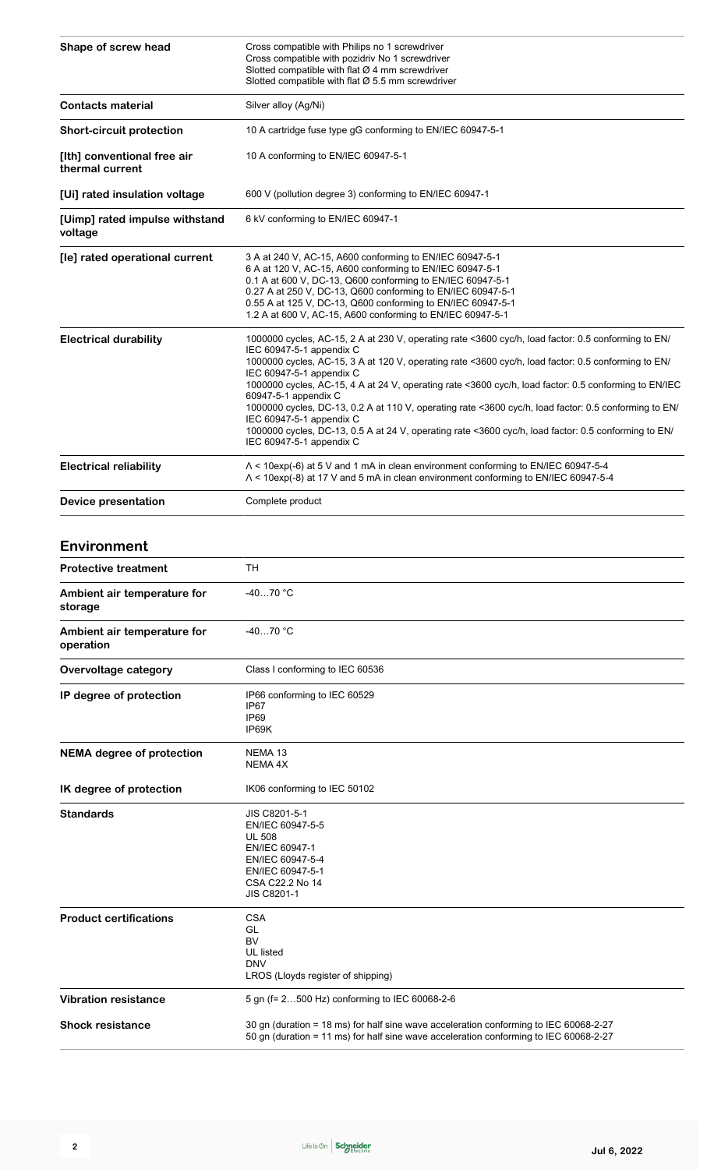| Shape of screw head                            | Cross compatible with Philips no 1 screwdriver<br>Cross compatible with pozidriv No 1 screwdriver<br>Slotted compatible with flat $Ø$ 4 mm screwdriver<br>Slotted compatible with flat $\varnothing$ 5.5 mm screwdriver                                                                                                                                                                                                                                                                                                                                                                                                                                                      |  |
|------------------------------------------------|------------------------------------------------------------------------------------------------------------------------------------------------------------------------------------------------------------------------------------------------------------------------------------------------------------------------------------------------------------------------------------------------------------------------------------------------------------------------------------------------------------------------------------------------------------------------------------------------------------------------------------------------------------------------------|--|
| <b>Contacts material</b>                       | Silver alloy (Ag/Ni)                                                                                                                                                                                                                                                                                                                                                                                                                                                                                                                                                                                                                                                         |  |
| <b>Short-circuit protection</b>                | 10 A cartridge fuse type gG conforming to EN/IEC 60947-5-1                                                                                                                                                                                                                                                                                                                                                                                                                                                                                                                                                                                                                   |  |
| [Ith] conventional free air<br>thermal current | 10 A conforming to EN/IEC 60947-5-1                                                                                                                                                                                                                                                                                                                                                                                                                                                                                                                                                                                                                                          |  |
| [Ui] rated insulation voltage                  | 600 V (pollution degree 3) conforming to EN/IEC 60947-1                                                                                                                                                                                                                                                                                                                                                                                                                                                                                                                                                                                                                      |  |
| [Uimp] rated impulse withstand<br>voltage      | 6 kV conforming to EN/IEC 60947-1                                                                                                                                                                                                                                                                                                                                                                                                                                                                                                                                                                                                                                            |  |
| [le] rated operational current                 | 3 A at 240 V, AC-15, A600 conforming to EN/IEC 60947-5-1<br>6 A at 120 V, AC-15, A600 conforming to EN/IEC 60947-5-1<br>0.1 A at 600 V, DC-13, Q600 conforming to EN/IEC 60947-5-1<br>0.27 A at 250 V, DC-13, Q600 conforming to EN/IEC 60947-5-1<br>0.55 A at 125 V, DC-13, Q600 conforming to EN/IEC 60947-5-1<br>1.2 A at 600 V, AC-15, A600 conforming to EN/IEC 60947-5-1                                                                                                                                                                                                                                                                                               |  |
| <b>Electrical durability</b>                   | 1000000 cycles, AC-15, 2 A at 230 V, operating rate <3600 cyc/h, load factor: 0.5 conforming to EN/<br>IEC 60947-5-1 appendix C<br>1000000 cycles, AC-15, 3 A at 120 V, operating rate <3600 cyc/h, load factor: 0.5 conforming to EN/<br>IEC 60947-5-1 appendix C<br>1000000 cycles, AC-15, 4 A at 24 V, operating rate <3600 cyc/h, load factor: 0.5 conforming to EN/IEC<br>60947-5-1 appendix C<br>1000000 cycles, DC-13, 0.2 A at 110 V, operating rate <3600 cyc/h, load factor: 0.5 conforming to EN/<br>IEC 60947-5-1 appendix C<br>1000000 cycles, DC-13, 0.5 A at 24 V, operating rate <3600 cyc/h, load factor: 0.5 conforming to EN/<br>IEC 60947-5-1 appendix C |  |
| <b>Electrical reliability</b>                  | $\Lambda$ < 10exp(-6) at 5 V and 1 mA in clean environment conforming to EN/IEC 60947-5-4<br>A < 10exp(-8) at 17 V and 5 mA in clean environment conforming to EN/IEC 60947-5-4                                                                                                                                                                                                                                                                                                                                                                                                                                                                                              |  |
| Device presentation                            | Complete product                                                                                                                                                                                                                                                                                                                                                                                                                                                                                                                                                                                                                                                             |  |

## **Environment**

| <b>Protective treatment</b>              | <b>TH</b>                                                                                                                                                                      |  |
|------------------------------------------|--------------------------------------------------------------------------------------------------------------------------------------------------------------------------------|--|
| Ambient air temperature for<br>storage   | $-4070 °C$                                                                                                                                                                     |  |
| Ambient air temperature for<br>operation | $-4070 °C$                                                                                                                                                                     |  |
| Overvoltage category                     | Class I conforming to IEC 60536                                                                                                                                                |  |
| IP degree of protection                  | IP66 conforming to IEC 60529<br>IP <sub>67</sub><br>IP <sub>69</sub><br>IP69K                                                                                                  |  |
| <b>NEMA</b> degree of protection         | NEMA <sub>13</sub><br>NEMA 4X                                                                                                                                                  |  |
| IK degree of protection                  | IK06 conforming to IEC 50102                                                                                                                                                   |  |
| <b>Standards</b>                         | JIS C8201-5-1<br>EN/IEC 60947-5-5<br><b>UL 508</b><br>EN/IEC 60947-1<br>EN/IEC 60947-5-4<br>EN/IEC 60947-5-1<br>CSA C22.2 No 14<br><b>JIS C8201-1</b>                          |  |
| <b>Product certifications</b>            | <b>CSA</b><br>GL<br><b>BV</b><br>UL listed<br><b>DNV</b><br>LROS (Lloyds register of shipping)                                                                                 |  |
| <b>Vibration resistance</b>              | 5 gn (f= 2500 Hz) conforming to IEC 60068-2-6                                                                                                                                  |  |
| <b>Shock resistance</b>                  | 30 gn (duration = 18 ms) for half sine wave acceleration conforming to IEC 60068-2-27<br>50 gn (duration = 11 ms) for half sine wave acceleration conforming to IEC 60068-2-27 |  |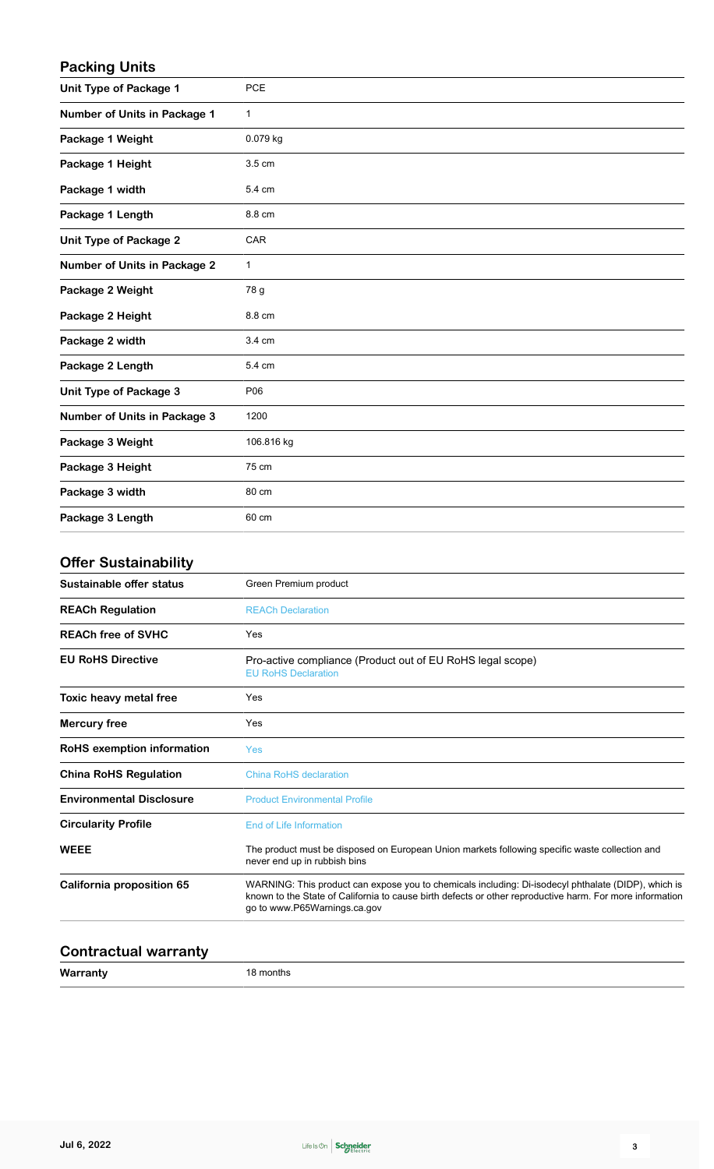## **Packing Units**

| <b>Unit Type of Package 1</b>       | <b>PCE</b>  |
|-------------------------------------|-------------|
| Number of Units in Package 1        | 1           |
| Package 1 Weight                    | 0.079 kg    |
| Package 1 Height                    | 3.5 cm      |
| Package 1 width                     | 5.4 cm      |
| Package 1 Length                    | 8.8 cm      |
| <b>Unit Type of Package 2</b>       | CAR         |
| <b>Number of Units in Package 2</b> | $\mathbf 1$ |
| Package 2 Weight                    | 78 g        |
| Package 2 Height                    | 8.8 cm      |
| Package 2 width                     | 3.4 cm      |
| Package 2 Length                    | 5.4 cm      |
| Unit Type of Package 3              | P06         |
| <b>Number of Units in Package 3</b> | 1200        |
| Package 3 Weight                    | 106.816 kg  |
| Package 3 Height                    | 75 cm       |
| Package 3 width                     | 80 cm       |
| Package 3 Length                    | 60 cm       |

## **Offer Sustainability**

| Sustainable offer status         | Green Premium product                                                                                                                                                                                                                           |  |
|----------------------------------|-------------------------------------------------------------------------------------------------------------------------------------------------------------------------------------------------------------------------------------------------|--|
| <b>REACh Regulation</b>          | <b>REACh Declaration</b>                                                                                                                                                                                                                        |  |
| <b>REACh free of SVHC</b>        | Yes                                                                                                                                                                                                                                             |  |
| <b>EU RoHS Directive</b>         | Pro-active compliance (Product out of EU RoHS legal scope)<br><b>EU RoHS Declaration</b>                                                                                                                                                        |  |
| Toxic heavy metal free           | Yes                                                                                                                                                                                                                                             |  |
| <b>Mercury free</b>              | Yes                                                                                                                                                                                                                                             |  |
| RoHS exemption information       | <b>Yes</b>                                                                                                                                                                                                                                      |  |
| <b>China RoHS Regulation</b>     | China RoHS declaration                                                                                                                                                                                                                          |  |
| <b>Environmental Disclosure</b>  | <b>Product Environmental Profile</b>                                                                                                                                                                                                            |  |
| <b>Circularity Profile</b>       | <b>End of Life Information</b>                                                                                                                                                                                                                  |  |
| <b>WEEE</b>                      | The product must be disposed on European Union markets following specific waste collection and<br>never end up in rubbish bins                                                                                                                  |  |
| <b>California proposition 65</b> | WARNING: This product can expose you to chemicals including: Di-isodecyl phthalate (DIDP), which is<br>known to the State of California to cause birth defects or other reproductive harm. For more information<br>go to www.P65Warnings.ca.gov |  |
|                                  |                                                                                                                                                                                                                                                 |  |

## **Contractual warranty**

**Warranty** 18 months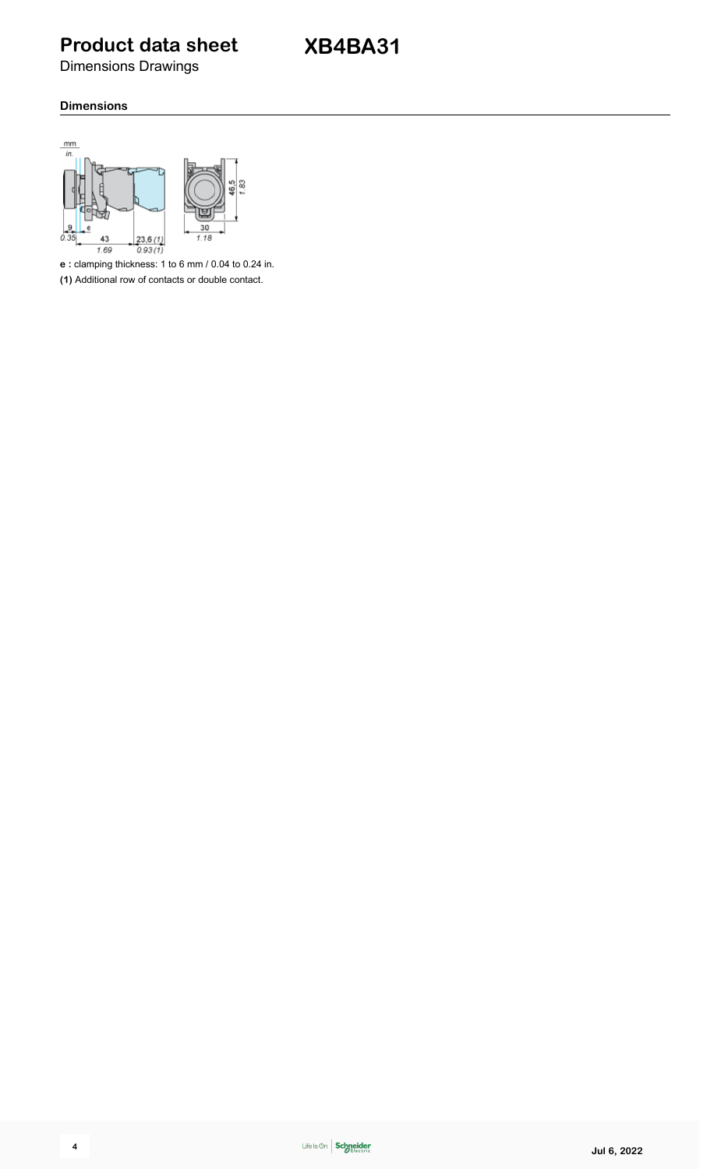**Product data sheet**

Dimensions Drawings

## **Dimensions**



**e :** clamping thickness: 1 to 6 mm / 0.04 to 0.24 in.

**(1)** Additional row of contacts or double contact.